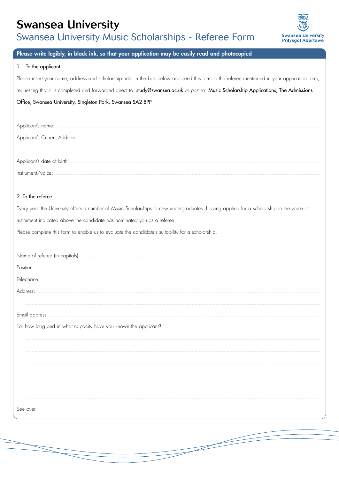# **Swansea University**

Swansea University Music Scholarships - Referee Form



## Please write legibly, in black ink, so that your application may be easily read and photocopied

#### 1. To the applicant

Please insert your name, address and scholarship field in the box below and send this form to the referee mentioned in your application form,

requesting that it is completed and forwarded direct to: study@swansea.ac.uk or post to: Music Scholarship Applications, The Admissions

### Office, Swansea University, Singleton Park, Swansea SA2 8PP

| Applicant's name:                                                                                                                                                                                                             |
|-------------------------------------------------------------------------------------------------------------------------------------------------------------------------------------------------------------------------------|
| <b>Applicant's Current Address</b>                                                                                                                                                                                            |
|                                                                                                                                                                                                                               |
|                                                                                                                                                                                                                               |
| nstrument/voice: the contract of the contract of the contract of the contract of the contract of the contract of the contract of the contract of the contract of the contract of the contract of the contract of the contract |

### 2. To the referee

Every year the University offers a number of Music Scholarships to new undergraduates. Having applied for a scholarship in the voice or instrument indicated above the candidate has nominated you as a referee.

Please complete this form to enable us to evaluate the candidate's suitability for a scholarship.

| See over |
|----------|